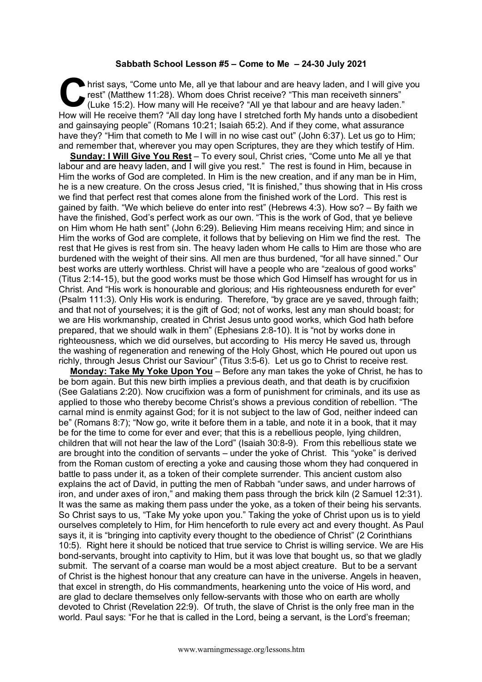## **Sabbath School Lesson #5 – Come to Me – 24-30 July 2021**

hrist says, "Come unto Me, all ye that labour and are heavy laden, and I will give you rest" (Matthew 11:28). Whom does Christ receive? "This man receiveth sinners" (Luke 15:2). How many will He receive? "All ye that labou rest" (Matthew 11:28). Whom does Christ receive? "This man receiveth sinners" (Luke 15:2). How many will He receive? "All ye that labour and are heavy laden." How will He receive them? "All day long have I stretched forth My hands unto a disobedient and gainsaying people" (Romans 10:21; Isaiah 65:2). And if they come, what assurance have they? "Him that cometh to Me I will in no wise cast out" (John 6:37). Let us go to Him; and remember that, wherever you may open Scriptures, they are they which testify of Him.

**Sunday: I Will Give You Rest** – To every soul, Christ cries, "Come unto Me all ye that labour and are heavy laden, and I will give you rest." The rest is found in Him, because in Him the works of God are completed. In Him is the new creation, and if any man be in Him, he is a new creature. On the cross Jesus cried, "It is finished," thus showing that in His cross we find that perfect rest that comes alone from the finished work of the Lord. This rest is gained by faith. "We which believe do enter into rest" (Hebrews 4:3). How so? – By faith we have the finished, God's perfect work as our own. "This is the work of God, that ye believe on Him whom He hath sent" (John 6:29). Believing Him means receiving Him; and since in Him the works of God are complete, it follows that by believing on Him we find the rest. The rest that He gives is rest from sin. The heavy laden whom He calls to Him are those who are burdened with the weight of their sins. All men are thus burdened, "for all have sinned." Our best works are utterly worthless. Christ will have a people who are "zealous of good works" (Titus 2:14-15), but the good works must be those which God Himself has wrought for us in Christ. And "His work is honourable and glorious; and His righteousness endureth for ever" (Psalm 111:3). Only His work is enduring. Therefore, "by grace are ye saved, through faith; and that not of yourselves; it is the gift of God; not of works, lest any man should boast; for we are His workmanship, created in Christ Jesus unto good works, which God hath before prepared, that we should walk in them" (Ephesians 2:8-10). It is "not by works done in righteousness, which we did ourselves, but according to His mercy He saved us, through the washing of regeneration and renewing of the Holy Ghost, which He poured out upon us richly, through Jesus Christ our Saviour" (Titus 3:5-6). Let us go to Christ to receive rest.

**Monday: Take My Yoke Upon You** – Before any man takes the yoke of Christ, he has to be born again. But this new birth implies a previous death, and that death is by crucifixion (See Galatians 2:20). Now crucifixion was a form of punishment for criminals, and its use as applied to those who thereby become Christ's shows a previous condition of rebellion. "The carnal mind is enmity against God; for it is not subject to the law of God, neither indeed can be" (Romans 8:7); "Now go, write it before them in a table, and note it in a book, that it may be for the time to come for ever and ever; that this is a rebellious people, lying children, children that will not hear the law of the Lord" (Isaiah 30:8-9). From this rebellious state we are brought into the condition of servants – under the yoke of Christ. This "yoke" is derived from the Roman custom of erecting a yoke and causing those whom they had conquered in battle to pass under it, as a token of their complete surrender. This ancient custom also explains the act of David, in putting the men of Rabbah "under saws, and under harrows of iron, and under axes of iron," and making them pass through the brick kiln (2 Samuel 12:31). It was the same as making them pass under the yoke, as a token of their being his servants. So Christ says to us, "Take My yoke upon you." Taking the yoke of Christ upon us is to yield ourselves completely to Him, for Him henceforth to rule every act and every thought. As Paul says it, it is "bringing into captivity every thought to the obedience of Christ" (2 Corinthians 10:5). Right here it should be noticed that true service to Christ is willing service. We are His bond-servants, brought into captivity to Him, but it was love that bought us, so that we gladly submit. The servant of a coarse man would be a most abject creature. But to be a servant of Christ is the highest honour that any creature can have in the universe. Angels in heaven, that excel in strength, do His commandments, hearkening unto the voice of His word, and are glad to declare themselves only fellow-servants with those who on earth are wholly devoted to Christ (Revelation 22:9). Of truth, the slave of Christ is the only free man in the world. Paul says: "For he that is called in the Lord, being a servant, is the Lord's freeman;